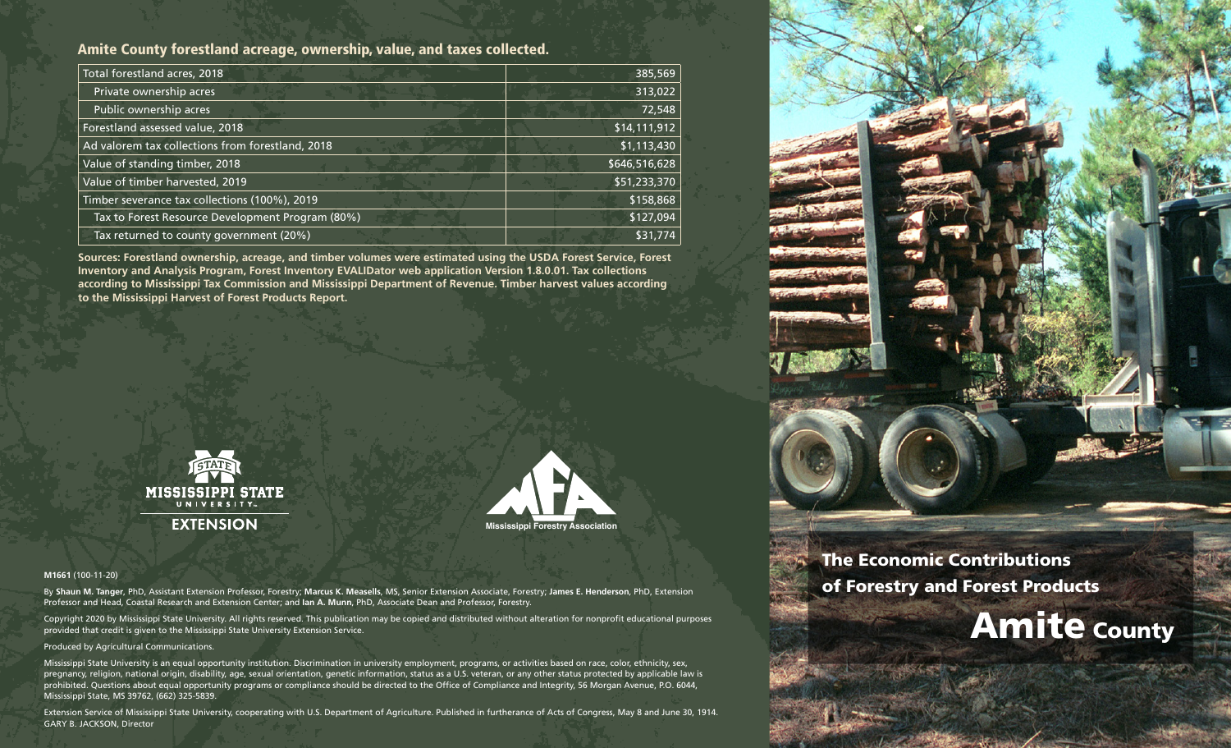# Amite County forestland acreage, ownership, value, and taxes collected.

| Total forestland acres, 2018                     | 385,569       |
|--------------------------------------------------|---------------|
| Private ownership acres                          | 313,022       |
| Public ownership acres                           | 72,548        |
| Forestland assessed value, 2018                  | \$14,111,912  |
| Ad valorem tax collections from forestland, 2018 | \$1,113,430   |
| Value of standing timber, 2018                   | \$646,516,628 |
| Value of timber harvested, 2019                  | \$51,233,370  |
| Timber severance tax collections (100%), 2019    | \$158,868     |
| Tax to Forest Resource Development Program (80%) | \$127,094     |
| Tax returned to county government (20%)          | \$31,774      |

**Sources: Forestland ownership, acreage, and timber volumes were estimated using the USDA Forest Service, Forest Inventory and Analysis Program, Forest Inventory EVALIDator web application Version 1.8.0.01. Tax collections according to Mississippi Tax Commission and Mississippi Department of Revenue. Timber harvest values according to the Mississippi Harvest of Forest Products Report.**





#### **M1661** (100-11-20)

By **Shaun M. Tanger**, PhD, Assistant Extension Professor, Forestry; **Marcus K. Measells**, MS, Senior Extension Associate, Forestry; **James E. Henderson**, PhD, Extension Professor and Head, Coastal Research and Extension Center; and **Ian A. Munn**, PhD, Associate Dean and Professor, Forestry.

Copyright 2020 by Mississippi State University. All rights reserved. This publication may be copied and distributed without alteration for nonprofit educational purposes provided that credit is given to the Mississippi State University Extension Service.

#### Produced by Agricultural Communications.

Mississippi State University is an equal opportunity institution. Discrimination in university employment, programs, or activities based on race, color, ethnicity, sex, pregnancy, religion, national origin, disability, age, sexual orientation, genetic information, status as a U.S. veteran, or any other status protected by applicable law is prohibited. Questions about equal opportunity programs or compliance should be directed to the Office of Compliance and Integrity, 56 Morgan Avenue, P.O. 6044, Mississippi State, MS 39762, (662) 325-5839.

Extension Service of Mississippi State University, cooperating with U.S. Department of Agriculture. Published in furtherance of Acts of Congress, May 8 and June 30, 1914. GARY B. JACKSON, Director



# The Economic Contributions of Forestry and Forest Products

# **Amite county**